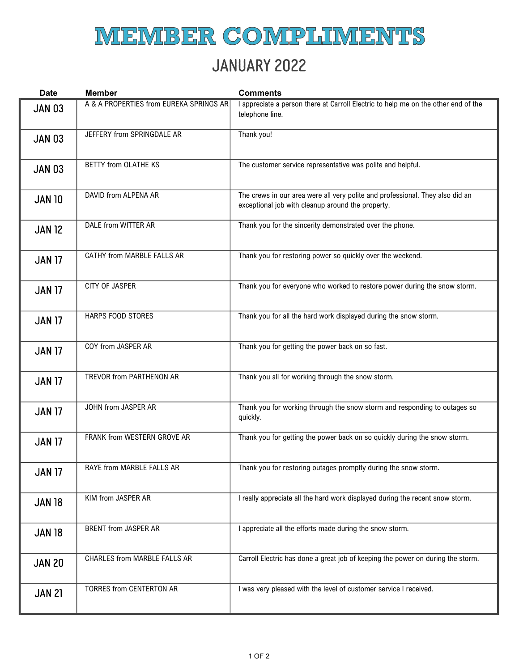## **MIEMIBER COMPLIMIENTS**

## JANUARY 2022

| <b>Date</b>   | <b>Member</b>                           | <b>Comments</b>                                                                                                                    |
|---------------|-----------------------------------------|------------------------------------------------------------------------------------------------------------------------------------|
| <b>JAN 03</b> | A & A PROPERTIES from EUREKA SPRINGS AR | I appreciate a person there at Carroll Electric to help me on the other end of the<br>telephone line.                              |
| <b>JAN 03</b> | JEFFERY from SPRINGDALE AR              | Thank you!                                                                                                                         |
| <b>JAN 03</b> | <b>BETTY from OLATHE KS</b>             | The customer service representative was polite and helpful.                                                                        |
| <b>JAN 10</b> | DAVID from ALPENA AR                    | The crews in our area were all very polite and professional. They also did an<br>exceptional job with cleanup around the property. |
| <b>JAN 12</b> | DALE from WITTER AR                     | Thank you for the sincerity demonstrated over the phone.                                                                           |
| <b>JAN 17</b> | CATHY from MARBLE FALLS AR              | Thank you for restoring power so quickly over the weekend.                                                                         |
| <b>JAN 17</b> | <b>CITY OF JASPER</b>                   | Thank you for everyone who worked to restore power during the snow storm.                                                          |
| <b>JAN 17</b> | HARPS FOOD STORES                       | Thank you for all the hard work displayed during the snow storm.                                                                   |
| <b>JAN 17</b> | COY from JASPER AR                      | Thank you for getting the power back on so fast.                                                                                   |
| <b>JAN 17</b> | TREVOR from PARTHENON AR                | Thank you all for working through the snow storm.                                                                                  |
| <b>JAN 17</b> | JOHN from JASPER AR                     | Thank you for working through the snow storm and responding to outages so<br>quickly.                                              |
| <b>JAN 17</b> | FRANK from WESTERN GROVE AR             | Thank you for getting the power back on so quickly during the snow storm.                                                          |
| <b>JAN 17</b> | RAYE from MARBLE FALLS AR               | Thank you for restoring outages promptly during the snow storm.                                                                    |
| <b>JAN 18</b> | KIM from JASPER AR                      | I really appreciate all the hard work displayed during the recent snow storm.                                                      |
| <b>JAN 18</b> | BRENT from JASPER AR                    | I appreciate all the efforts made during the snow storm.                                                                           |
| <b>JAN 20</b> | CHARLES from MARBLE FALLS AR            | Carroll Electric has done a great job of keeping the power on during the storm.                                                    |
| <b>JAN 21</b> | <b>TORRES from CENTERTON AR</b>         | I was very pleased with the level of customer service I received.                                                                  |